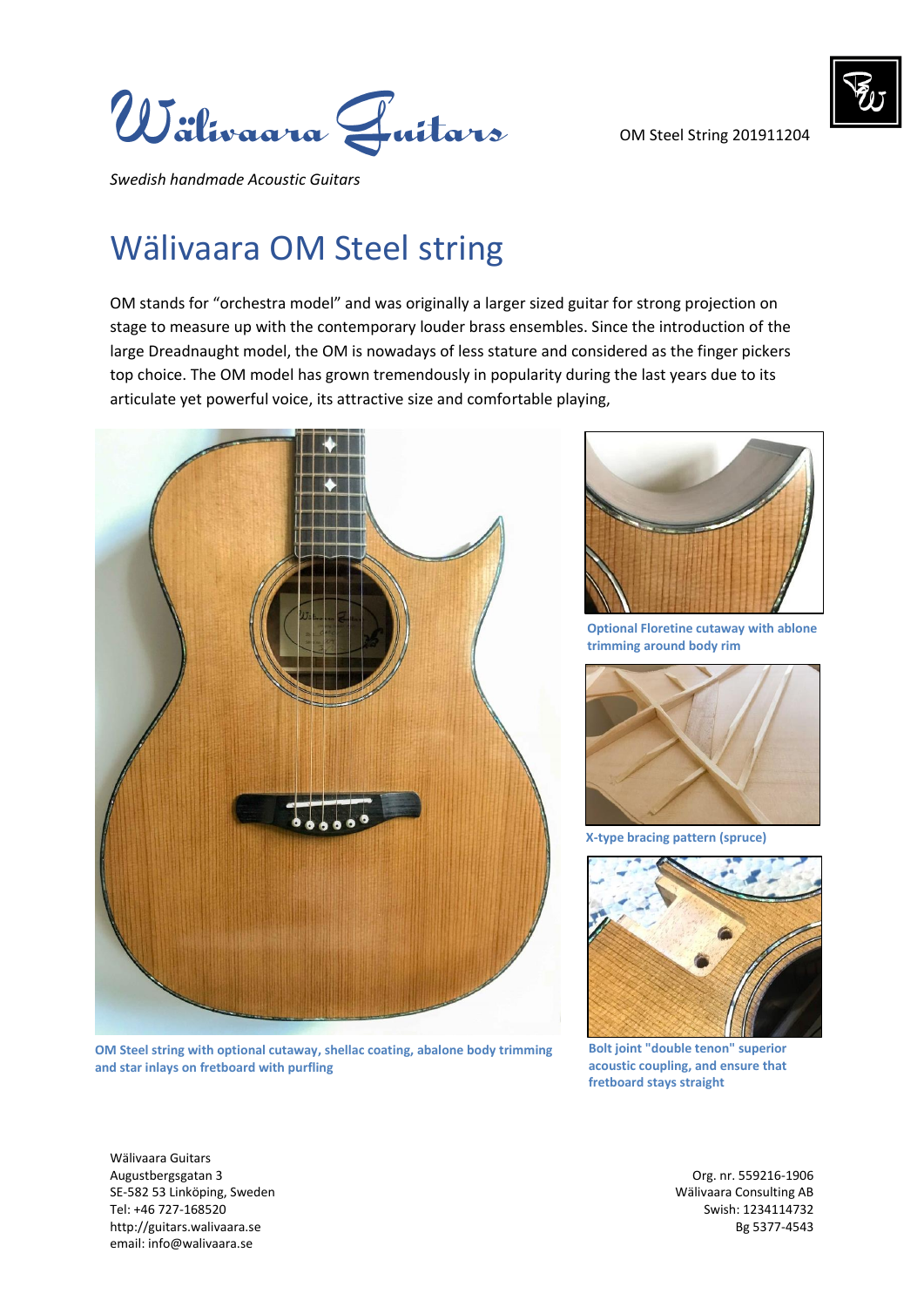

OM Steel String 201911204



*Swedish handmade Acoustic Guitars* 

## Wälivaara OM Steel string

OM stands for "orchestra model" and was originally a larger sized guitar for strong projection on stage to measure up with the contemporary louder brass ensembles. Since the introduction of the large Dreadnaught model, the OM is nowadays of less stature and considered as the finger pickers top choice. The OM model has grown tremendously in popularity during the last years due to its articulate yet powerful voice, its attractive size and comfortable playing,



**OM Steel string with optional cutaway, shellac coating, abalone body trimming and star inlays on fretboard with purfling**



**Optional Floretine cutaway with ablone trimming around body rim**



**X-type bracing pattern (spruce)**



**Bolt joint "double tenon" superior acoustic coupling, and ensure that fretboard stays straight**

Wälivaara Guitars Augustbergsgatan 3 Org. nr. 559216-1906 SE-582 53 Linköping, Sweden Wälivaara Consulting AB Tel: +46 727-168520 Swish: 1234114732 http://guitars.walivaara.se Bg 5377-4543 email: info@walivaara.se